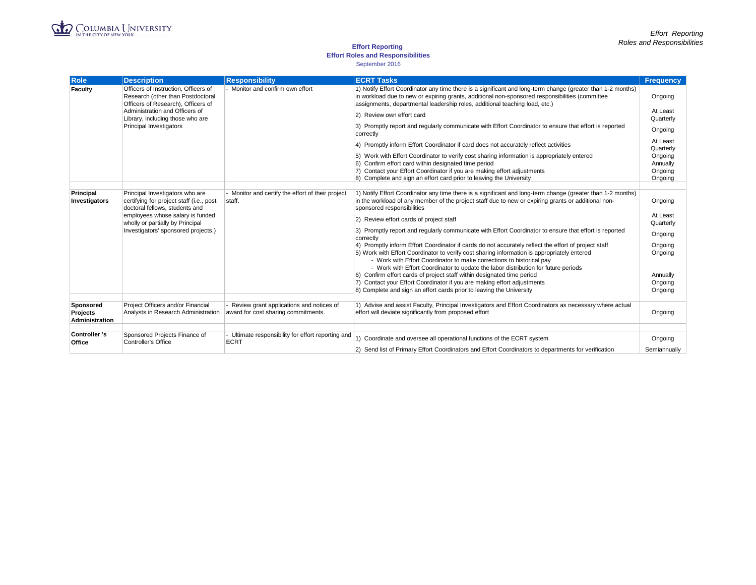

### **Effort Reporting**

### **Effort Roles and Responsibilities**

#### September 2016

| <b>Role</b>                | <b>Description</b>                                                                                                                                                                                                           | <b>Responsibility</b>                                       | <b>ECRT Tasks</b>                                                                                                                                                                                                                                                                                     | <b>Frequency</b>                          |
|----------------------------|------------------------------------------------------------------------------------------------------------------------------------------------------------------------------------------------------------------------------|-------------------------------------------------------------|-------------------------------------------------------------------------------------------------------------------------------------------------------------------------------------------------------------------------------------------------------------------------------------------------------|-------------------------------------------|
| Faculty                    | Officers of Instruction, Officers of<br>Research (other than Postdoctoral<br>Officers of Research), Officers of<br>Administration and Officers of<br>Library, including those who are<br>Principal Investigators             | - Monitor and confirm own effort                            | 1) Notify Effort Coordinator any time there is a significant and long-term change (greater than 1-2 months)<br>in workload due to new or expiring grants, additional non-sponsored responsibilities (committee)<br>assignments, departmental leadership roles, additional teaching load, etc.)        | Ongoing                                   |
|                            |                                                                                                                                                                                                                              |                                                             | 2) Review own effort card                                                                                                                                                                                                                                                                             | At Least<br>Quarterly                     |
|                            |                                                                                                                                                                                                                              |                                                             | 3) Promptly report and regularly communicate with Effort Coordinator to ensure that effort is reported<br>correctly                                                                                                                                                                                   | Ongoing                                   |
|                            |                                                                                                                                                                                                                              |                                                             | 4) Promptly inform Effort Coordinator if card does not accurately reflect activities                                                                                                                                                                                                                  | At Least<br>Quarterly                     |
|                            |                                                                                                                                                                                                                              |                                                             | 5) Work with Effort Coordinator to verify cost sharing information is appropriately entered<br>6) Confirm effort card within designated time period<br>7) Contact your Effort Coordinator if you are making effort adjustments<br>8) Complete and sign an effort card prior to leaving the University | Ongoing<br>Annually<br>Ongoing<br>Ongoing |
|                            |                                                                                                                                                                                                                              |                                                             |                                                                                                                                                                                                                                                                                                       |                                           |
| Principal<br>Investigators | Principal Investigators who are<br>certifying for project staff (i.e., post<br>doctoral fellows, students and<br>employees whose salary is funded<br>wholly or partially by Principal<br>Investigators' sponsored projects.) | - Monitor and certify the effort of their project<br>staff. | 1) Notify Effort Coordinator any time there is a significant and long-term change (greater than 1-2 months)<br>in the workload of any member of the project staff due to new or expiring grants or additional non-<br>sponsored responsibilities                                                      | Ongoing                                   |
|                            |                                                                                                                                                                                                                              |                                                             | 2) Review effort cards of project staff                                                                                                                                                                                                                                                               | At Least<br>Quarterly                     |
|                            |                                                                                                                                                                                                                              |                                                             | 3) Promptly report and regularly communicate with Effort Coordinator to ensure that effort is reported<br>correctly                                                                                                                                                                                   | Ongoing                                   |
|                            |                                                                                                                                                                                                                              |                                                             | 4) Promptly inform Effort Coordinator if cards do not accurately reflect the effort of project staff<br>5) Work with Effort Coordinator to verify cost sharing information is appropriately entered                                                                                                   | Ongoing                                   |
|                            |                                                                                                                                                                                                                              |                                                             | - Work with Effort Coordinator to make corrections to historical pay                                                                                                                                                                                                                                  | Ongoing                                   |
|                            |                                                                                                                                                                                                                              |                                                             | - Work with Effort Coordinator to update the labor distribution for future periods                                                                                                                                                                                                                    |                                           |
|                            |                                                                                                                                                                                                                              |                                                             | 6) Confirm effort cards of project staff within designated time period<br>7) Contact your Effort Coordinator if you are making effort adjustments                                                                                                                                                     | Annually<br>Ongoing                       |
|                            |                                                                                                                                                                                                                              |                                                             | 8) Complete and sign an effort cards prior to leaving the University                                                                                                                                                                                                                                  | Ongoing                                   |
| Sponsored                  | Project Officers and/or Financial                                                                                                                                                                                            | Review grant applications and notices of                    | 1) Advise and assist Faculty, Principal Investigators and Effort Coordinators as necessary where actual                                                                                                                                                                                               |                                           |
| Projects<br>Administration | Analysts in Research Administration                                                                                                                                                                                          | award for cost sharing commitments.                         | effort will deviate significantly from proposed effort                                                                                                                                                                                                                                                | Ongoing                                   |
| <b>Controller 's</b>       | Sponsored Projects Finance of                                                                                                                                                                                                | Ultimate responsibility for effort reporting and            |                                                                                                                                                                                                                                                                                                       |                                           |
| Office                     | Controller's Office                                                                                                                                                                                                          | <b>ECRT</b>                                                 | 1) Coordinate and oversee all operational functions of the ECRT system                                                                                                                                                                                                                                | Ongoing                                   |
|                            |                                                                                                                                                                                                                              |                                                             | 2) Send list of Primary Effort Coordinators and Effort Coordinators to departments for verification                                                                                                                                                                                                   | Semiannually                              |